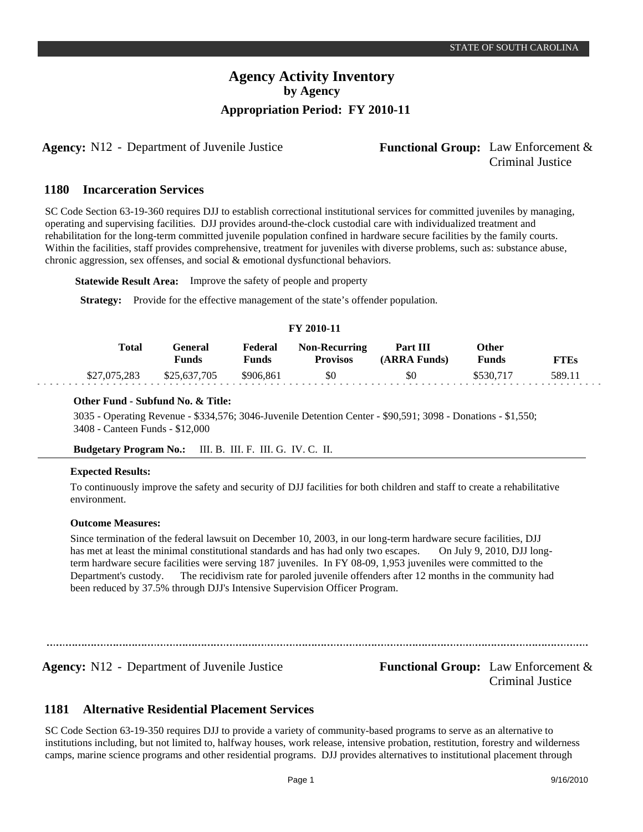**Agency:** N12 - Department of Juvenile Justice **Functional Group:** Law Enforcement &

# Criminal Justice

#### **Incarceration Services 1180**

SC Code Section 63-19-360 requires DJJ to establish correctional institutional services for committed juveniles by managing, operating and supervising facilities. DJJ provides around-the-clock custodial care with individualized treatment and rehabilitation for the long-term committed juvenile population confined in hardware secure facilities by the family courts. Within the facilities, staff provides comprehensive, treatment for juveniles with diverse problems, such as: substance abuse, chronic aggression, sex offenses, and social & emotional dysfunctional behaviors.

**Statewide Result Area:** Improve the safety of people and property

**Strategy:** Provide for the effective management of the state's offender population.

## **FY 2010-11**

| Total        | <b>General</b><br><b>Funds</b> | Federal<br><b>Funds</b> | <b>Non-Recurring</b><br><b>Provisos</b> | Part III<br>(ARRA Funds) | Other<br><b>Funds</b> | <b>FTEs</b> |
|--------------|--------------------------------|-------------------------|-----------------------------------------|--------------------------|-----------------------|-------------|
| \$27,075,283 | \$25,637,705                   | \$906.861               | \$0                                     | \$0                      | \$530.717             | 589.11      |

#### **Other Fund - Subfund No. & Title:**

3035 - Operating Revenue - \$334,576; 3046-Juvenile Detention Center - \$90,591; 3098 - Donations - \$1,550; 3408 - Canteen Funds - \$12,000

**Budgetary Program No.:** III. B. III. F. III. G. IV. C. II.

## **Expected Results:**

To continuously improve the safety and security of DJJ facilities for both children and staff to create a rehabilitative environment.

#### **Outcome Measures:**

Since termination of the federal lawsuit on December 10, 2003, in our long-term hardware secure facilities, DJJ has met at least the minimal constitutional standards and has had only two escapes. On July 9, 2010, DJJ longterm hardware secure facilities were serving 187 juveniles. In FY 08-09, 1,953 juveniles were committed to the Department's custody. The recidivism rate for paroled juvenile offenders after 12 months in the community had been reduced by 37.5% through DJJ's Intensive Supervision Officer Program.

**Agency:** N12 - Department of Juvenile Justice **Functional Group:** Law Enforcement &

Criminal Justice

#### **Alternative Residential Placement Services 1181**

SC Code Section 63-19-350 requires DJJ to provide a variety of community-based programs to serve as an alternative to institutions including, but not limited to, halfway houses, work release, intensive probation, restitution, forestry and wilderness camps, marine science programs and other residential programs. DJJ provides alternatives to institutional placement through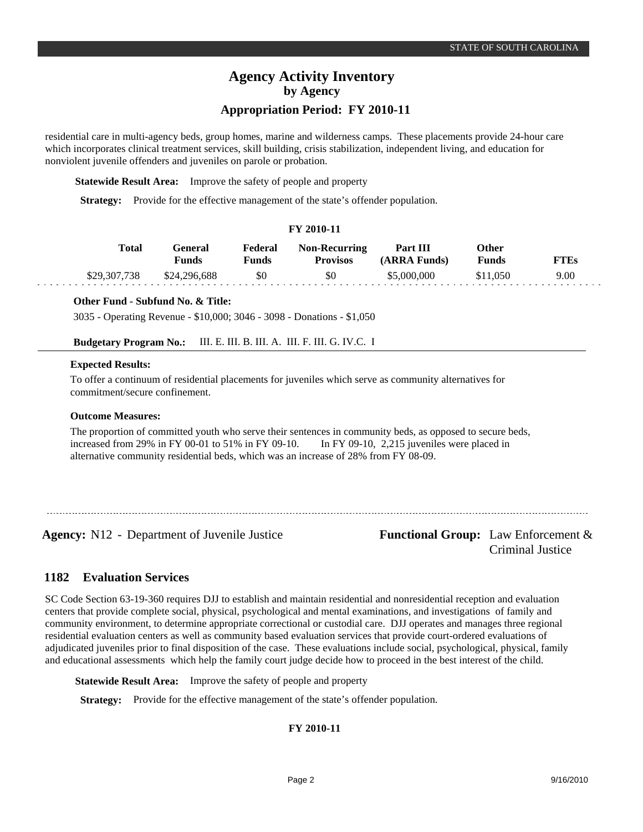# **Agency Activity Inventory by Agency**

## **Appropriation Period: FY 2010-11**

residential care in multi-agency beds, group homes, marine and wilderness camps. These placements provide 24-hour care which incorporates clinical treatment services, skill building, crisis stabilization, independent living, and education for nonviolent juvenile offenders and juveniles on parole or probation.

**Statewide Result Area:** Improve the safety of people and property

**Strategy:** Provide for the effective management of the state's offender population.

## **FY 2010-11**

| Total        | '÷eneral<br>Funds | Federal<br>Funds | <b>Non-Recurring</b><br><b>Provisos</b> | Part III<br>(ARRA Funds) | Other<br><b>Funds</b> | FT Es |
|--------------|-------------------|------------------|-----------------------------------------|--------------------------|-----------------------|-------|
| \$29,307,738 | \$24,296,688      | \$0              | \$0                                     | \$5,000,000              | \$11.050              | 9.00  |

#### **Other Fund - Subfund No. & Title:**

3035 - Operating Revenue - \$10,000; 3046 - 3098 - Donations - \$1,050

**Budgetary Program No.:** III. E. III. B. III. A. III. F. III. G. IV.C. I

#### **Expected Results:**

To offer a continuum of residential placements for juveniles which serve as community alternatives for commitment/secure confinement.

#### **Outcome Measures:**

The proportion of committed youth who serve their sentences in community beds, as opposed to secure beds, increased from 29% in FY 00-01 to 51% in FY 09-10. In FY 09-10, 2,215 juveniles were placed in alternative community residential beds, which was an increase of 28% from FY 08-09.

**Agency:** N12 - Department of Juvenile Justice **Functional Group:** Law Enforcement &

Criminal Justice

#### **Evaluation Services 1182**

SC Code Section 63-19-360 requires DJJ to establish and maintain residential and nonresidential reception and evaluation centers that provide complete social, physical, psychological and mental examinations, and investigations of family and community environment, to determine appropriate correctional or custodial care. DJJ operates and manages three regional residential evaluation centers as well as community based evaluation services that provide court-ordered evaluations of adjudicated juveniles prior to final disposition of the case. These evaluations include social, psychological, physical, family and educational assessments which help the family court judge decide how to proceed in the best interest of the child.

**Statewide Result Area:** Improve the safety of people and property

**Strategy:** Provide for the effective management of the state's offender population.

## **FY 2010-11**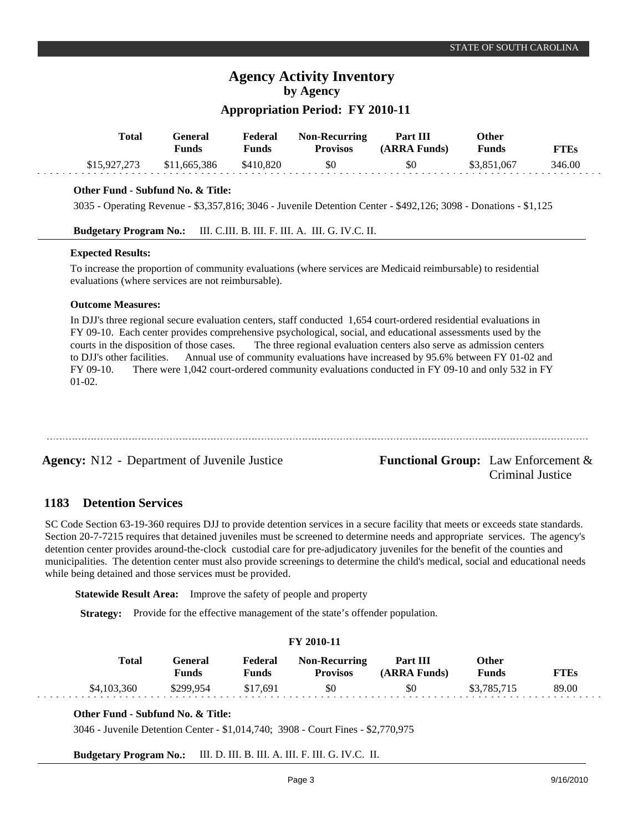# **Agency Activity Inventory by Agency**

# **Appropriation Period: FY 2010-11**

| Total                             | <b>General</b><br><b>Funds</b> | Federal<br><b>Funds</b> | <b>Non-Recurring</b><br><b>Provisos</b> | Part III<br>(ARRA Funds) | Other<br><b>Funds</b> | <b>FTEs</b> |  |
|-----------------------------------|--------------------------------|-------------------------|-----------------------------------------|--------------------------|-----------------------|-------------|--|
| \$15,927,273                      | \$11,665,386                   | \$410.820               | \$0                                     | \$0                      | \$3,851,067           | 346.00      |  |
| Other Fund - Subfund No. & Title: |                                |                         |                                         |                          |                       |             |  |

3035 - Operating Revenue - \$3,357,816; 3046 - Juvenile Detention Center - \$492,126; 3098 - Donations - \$1,125

**Budgetary Program No.:** III. C.III. B. III. F. III. A. III. G. IV.C. II.

## **Expected Results:**

To increase the proportion of community evaluations (where services are Medicaid reimbursable) to residential evaluations (where services are not reimbursable).

## **Outcome Measures:**

In DJJ's three regional secure evaluation centers, staff conducted 1,654 court-ordered residential evaluations in FY 09-10. Each center provides comprehensive psychological, social, and educational assessments used by the courts in the disposition of those cases. The three regional evaluation centers also serve as admission centers to DJJ's other facilities. Annual use of community evaluations have increased by 95.6% between FY 01-02 and FY 09-10. There were 1,042 court-ordered community evaluations conducted in FY 09-10 and only 532 in FY 01-02.

**Agency:** N12 - Department of Juvenile Justice **Functional Group:** Law Enforcement &

Criminal Justice

#### **Detention Services 1183**

SC Code Section 63-19-360 requires DJJ to provide detention services in a secure facility that meets or exceeds state standards. Section 20-7-7215 requires that detained juveniles must be screened to determine needs and appropriate services. The agency's detention center provides around-the-clock custodial care for pre-adjudicatory juveniles for the benefit of the counties and municipalities. The detention center must also provide screenings to determine the child's medical, social and educational needs while being detained and those services must be provided.

**Statewide Result Area:** Improve the safety of people and property

**Strategy:** Provide for the effective management of the state's offender population.

| <b>FY 2010-11</b> |             |                         |                         |                                         |                          |                       |             |  |  |  |
|-------------------|-------------|-------------------------|-------------------------|-----------------------------------------|--------------------------|-----------------------|-------------|--|--|--|
|                   | Total       | General<br><b>Funds</b> | Federal<br><b>Funds</b> | <b>Non-Recurring</b><br><b>Provisos</b> | Part III<br>(ARRA Funds) | Other<br><b>Funds</b> | <b>FTEs</b> |  |  |  |
|                   | \$4,103,360 | \$299.954               | \$17.691                | \$0                                     | \$0                      | \$3,785,715           | 89.00       |  |  |  |

## **Other Fund - Subfund No. & Title:**

3046 - Juvenile Detention Center - \$1,014,740; 3908 - Court Fines - \$2,770,975

**Budgetary Program No.:** III. D. III. B. III. A. III. F. III. G. IV.C. II.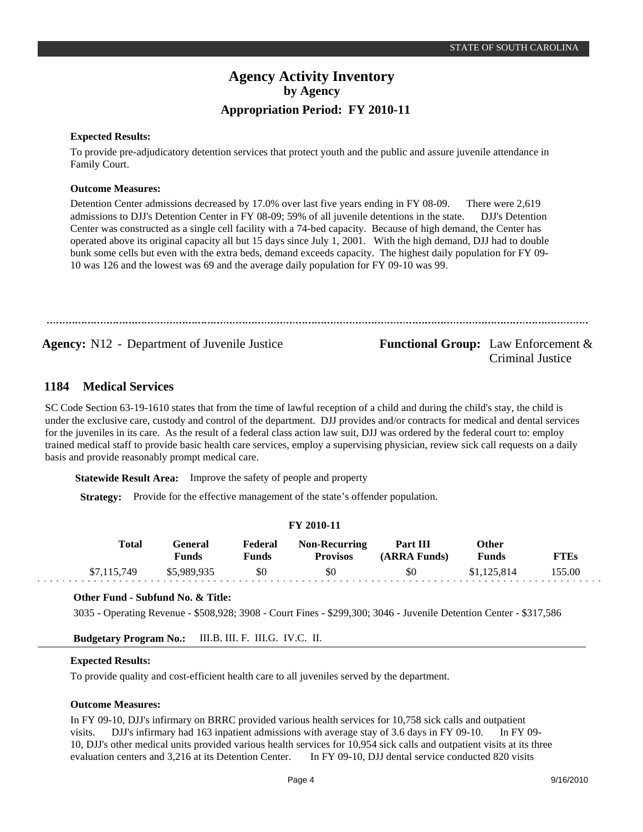#### **Expected Results:**

To provide pre-adjudicatory detention services that protect youth and the public and assure juvenile attendance in Family Court.

#### **Outcome Measures:**

Detention Center admissions decreased by 17.0% over last five years ending in FY 08-09. There were 2,619 admissions to DJJ's Detention Center in FY 08-09; 59% of all juvenile detentions in the state. DJJ's Detention Center was constructed as a single cell facility with a 74-bed capacity. Because of high demand, the Center has operated above its original capacity all but 15 days since July 1, 2001. With the high demand, DJJ had to double bunk some cells but even with the extra beds, demand exceeds capacity. The highest daily population for FY 09- 10 was 126 and the lowest was 69 and the average daily population for FY 09-10 was 99.

**Agency:** N12 - Department of Juvenile Justice **Functional Group:** Law Enforcement &

Criminal Justice

#### **Medical Services 1184**

SC Code Section 63-19-1610 states that from the time of lawful reception of a child and during the child's stay, the child is under the exclusive care, custody and control of the department. DJJ provides and/or contracts for medical and dental services for the juveniles in its care. As the result of a federal class action law suit, DJJ was ordered by the federal court to: employ trained medical staff to provide basic health care services, employ a supervising physician, review sick call requests on a daily basis and provide reasonably prompt medical care.

**Statewide Result Area:** Improve the safety of people and property

**Strategy:** Provide for the effective management of the state's offender population.

## **FY 2010-11**

| Total       | Feneral<br>Funds | Federal<br>$F$ unds | <b>Non-Recurring</b><br><b>Provisos</b> | Part III<br>(ARRA Funds) | Other<br>Funds | TTEs   |
|-------------|------------------|---------------------|-----------------------------------------|--------------------------|----------------|--------|
| \$7,115,749 | \$5,989,935      | \$0                 | \$0                                     | \$0                      |                | 155.00 |

#### **Other Fund - Subfund No. & Title:**

3035 - Operating Revenue - \$508,928; 3908 - Court Fines - \$299,300; 3046 - Juvenile Detention Center - \$317,586

**Budgetary Program No.:** III.B. III. F. III.G. IV.C. II.

#### **Expected Results:**

To provide quality and cost-efficient health care to all juveniles served by the department.

#### **Outcome Measures:**

In FY 09-10, DJJ's infirmary on BRRC provided various health services for 10,758 sick calls and outpatient visits. DJJ's infirmary had 163 inpatient admissions with average stay of 3.6 days in FY 09-10. In FY 09-10, DJJ's other medical units provided various health services for 10,954 sick calls and outpatient visits at its three evaluation centers and 3,216 at its Detention Center. In FY 09-10, DJJ dental service conducted 820 visits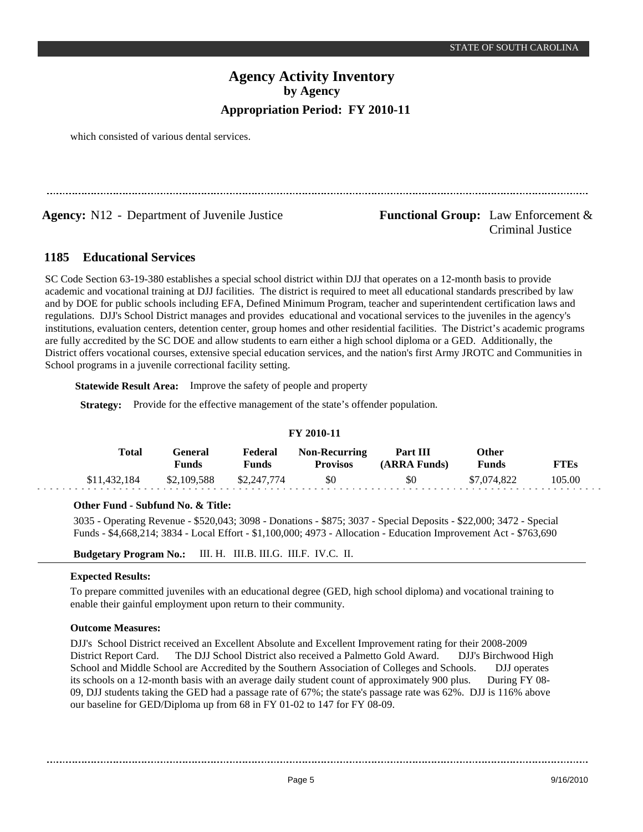which consisted of various dental services.

**Agency:** N12 - Department of Juvenile Justice **Functional Group:** Law Enforcement &

# Criminal Justice

#### **Educational Services 1185**

SC Code Section 63-19-380 establishes a special school district within DJJ that operates on a 12-month basis to provide academic and vocational training at DJJ facilities. The district is required to meet all educational standards prescribed by law and by DOE for public schools including EFA, Defined Minimum Program, teacher and superintendent certification laws and regulations. DJJ's School District manages and provides educational and vocational services to the juveniles in the agency's institutions, evaluation centers, detention center, group homes and other residential facilities. The District's academic programs are fully accredited by the SC DOE and allow students to earn either a high school diploma or a GED. Additionally, the District offers vocational courses, extensive special education services, and the nation's first Army JROTC and Communities in School programs in a juvenile correctional facility setting.

**Statewide Result Area:** Improve the safety of people and property

**Strategy:** Provide for the effective management of the state's offender population.

| 1 1 2010-11 |              |                         |                  |                                         |                                 |                       |             |  |  |  |
|-------------|--------------|-------------------------|------------------|-----------------------------------------|---------------------------------|-----------------------|-------------|--|--|--|
|             | <b>Total</b> | General<br><b>Funds</b> | Federal<br>Funds | <b>Non-Recurring</b><br><b>Provisos</b> | <b>Part III</b><br>(ARRA Funds) | Other<br><b>Funds</b> | <b>FTEs</b> |  |  |  |
|             | \$11,432,184 | \$2,109,588             | \$2,247,774      | \$0                                     | SO.                             | \$7.074.822           | 105.00      |  |  |  |

**FY 2010-11**

## **Other Fund - Subfund No. & Title:**

3035 - Operating Revenue - \$520,043; 3098 - Donations - \$875; 3037 - Special Deposits - \$22,000; 3472 - Special Funds - \$4,668,214; 3834 - Local Effort - \$1,100,000; 4973 - Allocation - Education Improvement Act - \$763,690

**Budgetary Program No.:** III. H. III.B. III.G. III.F. IV.C. II.

## **Expected Results:**

To prepare committed juveniles with an educational degree (GED, high school diploma) and vocational training to enable their gainful employment upon return to their community.

## **Outcome Measures:**

DJJ's School District received an Excellent Absolute and Excellent Improvement rating for their 2008-2009 District Report Card. The DJJ School District also received a Palmetto Gold Award. DJJ's Birchwood High School and Middle School are Accredited by the Southern Association of Colleges and Schools. DJJ operates its schools on a 12-month basis with an average daily student count of approximately 900 plus. During FY 08-09, DJJ students taking the GED had a passage rate of 67%; the state's passage rate was 62%. DJJ is 116% above our baseline for GED/Diploma up from 68 in FY 01-02 to 147 for FY 08-09.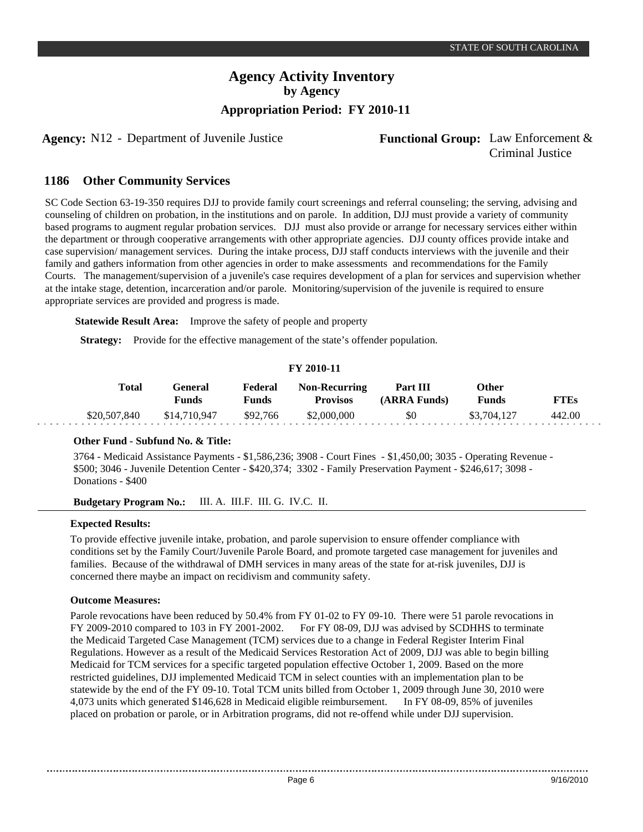Agency: N12 - Department of Juvenile Justice **Functional Group:** Law Enforcement &

Criminal Justice

#### **Other Community Services 1186**

SC Code Section 63-19-350 requires DJJ to provide family court screenings and referral counseling; the serving, advising and counseling of children on probation, in the institutions and on parole. In addition, DJJ must provide a variety of community based programs to augment regular probation services. DJJ must also provide or arrange for necessary services either within the department or through cooperative arrangements with other appropriate agencies. DJJ county offices provide intake and case supervision/ management services. During the intake process, DJJ staff conducts interviews with the juvenile and their family and gathers information from other agencies in order to make assessments and recommendations for the Family Courts. The management/supervision of a juvenile's case requires development of a plan for services and supervision whether at the intake stage, detention, incarceration and/or parole. Monitoring/supervision of the juvenile is required to ensure appropriate services are provided and progress is made.

**Statewide Result Area:** Improve the safety of people and property

**Strategy:** Provide for the effective management of the state's offender population.

#### **FY 2010-11**

| Total        | General<br><b>Funds</b> | Federal<br><b>Funds</b> | <b>Non-Recurring</b><br><b>Provisos</b> | <b>Part III</b><br>(ARRA Funds) | Other<br><b>Funds</b> | FTEs   |
|--------------|-------------------------|-------------------------|-----------------------------------------|---------------------------------|-----------------------|--------|
| \$20,507,840 | \$14,710,947            | \$92.766                | \$2,000,000                             | \$0                             | \$3,704,127           | 442.00 |

## **Other Fund - Subfund No. & Title:**

3764 - Medicaid Assistance Payments - \$1,586,236; 3908 - Court Fines - \$1,450,00; 3035 - Operating Revenue - \$500; 3046 - Juvenile Detention Center - \$420,374; 3302 - Family Preservation Payment - \$246,617; 3098 - Donations - \$400

**Budgetary Program No.:** III. A. III.F. III. G. IV.C. II.

## **Expected Results:**

To provide effective juvenile intake, probation, and parole supervision to ensure offender compliance with conditions set by the Family Court/Juvenile Parole Board, and promote targeted case management for juveniles and families. Because of the withdrawal of DMH services in many areas of the state for at-risk juveniles, DJJ is concerned there maybe an impact on recidivism and community safety.

## **Outcome Measures:**

Parole revocations have been reduced by 50.4% from FY 01-02 to FY 09-10. There were 51 parole revocations in FY 2009-2010 compared to 103 in FY 2001-2002. For FY 08-09, DJJ was advised by SCDHHS to terminate the Medicaid Targeted Case Management (TCM) services due to a change in Federal Register Interim Final Regulations. However as a result of the Medicaid Services Restoration Act of 2009, DJJ was able to begin billing Medicaid for TCM services for a specific targeted population effective October 1, 2009. Based on the more restricted guidelines, DJJ implemented Medicaid TCM in select counties with an implementation plan to be statewide by the end of the FY 09-10. Total TCM units billed from October 1, 2009 through June 30, 2010 were 4,073 units which generated \$146,628 in Medicaid eligible reimbursement.In FY 08-09, 85% of juveniles placed on probation or parole, or in Arbitration programs, did not re-offend while under DJJ supervision.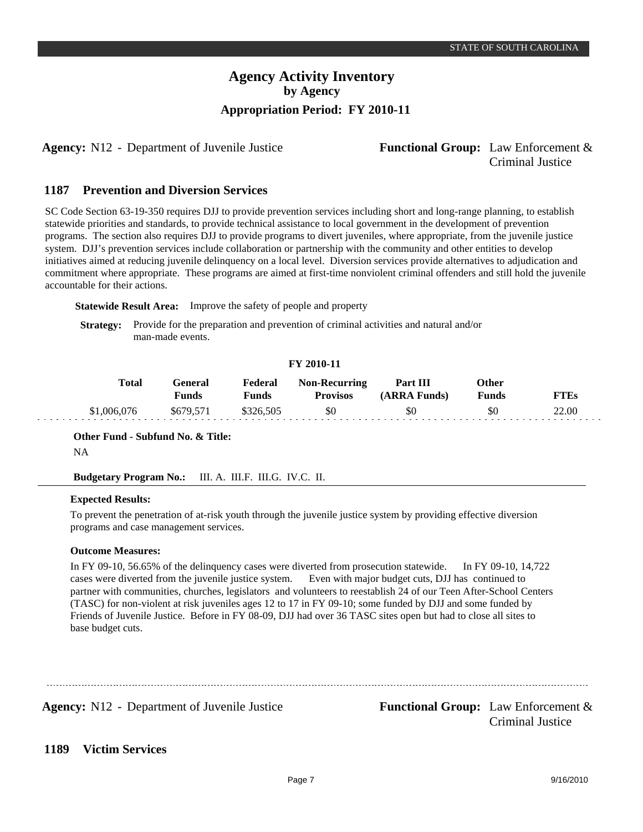Agency: N12 - Department of Juvenile Justice **Functional Group:** Law Enforcement &

# Criminal Justice

#### **Prevention and Diversion Services 1187**

SC Code Section 63-19-350 requires DJJ to provide prevention services including short and long-range planning, to establish statewide priorities and standards, to provide technical assistance to local government in the development of prevention programs. The section also requires DJJ to provide programs to divert juveniles, where appropriate, from the juvenile justice system. DJJ's prevention services include collaboration or partnership with the community and other entities to develop initiatives aimed at reducing juvenile delinquency on a local level. Diversion services provide alternatives to adjudication and commitment where appropriate. These programs are aimed at first-time nonviolent criminal offenders and still hold the juvenile accountable for their actions.

**Statewide Result Area:** Improve the safety of people and property

**Strategy:** Provide for the preparation and prevention of criminal activities and natural and/or man-made events.

## **FY 2010-11**

| Total       | <b>General</b><br>Funds | Federal<br>Funds | <b>Non-Recurring</b><br><b>Provisos</b> | Part III<br>(ARRA Funds) | <b>Other</b><br><b>Funds</b> | FTEs  |
|-------------|-------------------------|------------------|-----------------------------------------|--------------------------|------------------------------|-------|
| \$1,006,076 | \$679,571               | \$326.505        | SO.                                     | \$0                      | \$0                          | 22.00 |

**Other Fund - Subfund No. & Title:**

NA

a a a

**Budgetary Program No.:** III. A. III.F. III.G. IV.C. II.

## **Expected Results:**

To prevent the penetration of at-risk youth through the juvenile justice system by providing effective diversion programs and case management services.

## **Outcome Measures:**

In FY 09-10, 56.65% of the delinquency cases were diverted from prosecution statewide. In FY 09-10, 14,722 cases were diverted from the juvenile justice system.Even with major budget cuts, DJJ has continued to partner with communities, churches, legislators and volunteers to reestablish 24 of our Teen After-School Centers (TASC) for non-violent at risk juveniles ages 12 to 17 in FY 09-10; some funded by DJJ and some funded by Friends of Juvenile Justice. Before in FY 08-09, DJJ had over 36 TASC sites open but had to close all sites to base budget cuts.

**Agency:** N12 - Department of Juvenile Justice **Functional Group:** Law Enforcement &

Criminal Justice

#### **Victim Services 1189**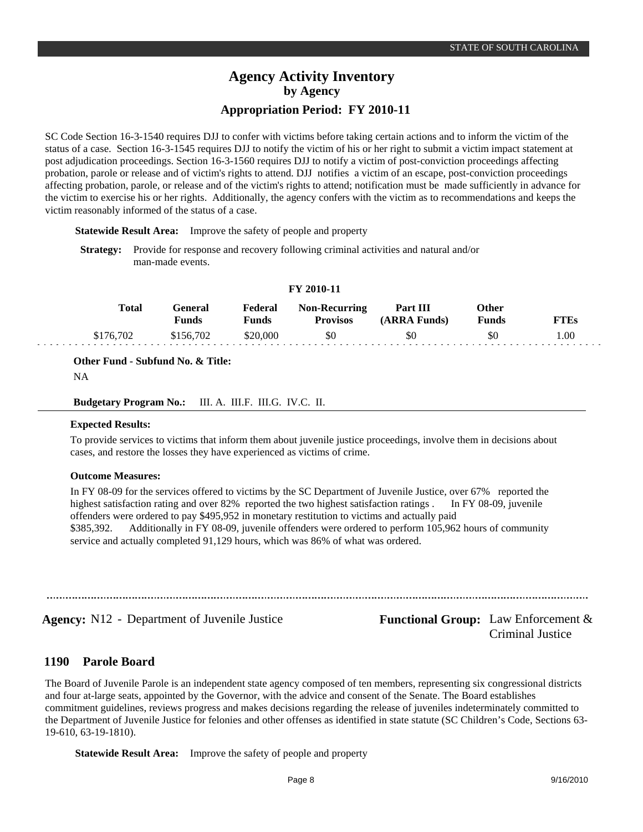SC Code Section 16-3-1540 requires DJJ to confer with victims before taking certain actions and to inform the victim of the status of a case. Section 16-3-1545 requires DJJ to notify the victim of his or her right to submit a victim impact statement at post adjudication proceedings. Section 16-3-1560 requires DJJ to notify a victim of post-conviction proceedings affecting probation, parole or release and of victim's rights to attend. DJJ notifies a victim of an escape, post-conviction proceedings affecting probation, parole, or release and of the victim's rights to attend; notification must be made sufficiently in advance for the victim to exercise his or her rights. Additionally, the agency confers with the victim as to recommendations and keeps the victim reasonably informed of the status of a case.

**Statewide Result Area:** Improve the safety of people and property

**Strategy:** Provide for response and recovery following criminal activities and natural and/or man-made events.

#### **FY 2010-11**

| <b>Total</b> | <del>ì</del> eneral<br><b>Funds</b> | Federal<br>Funds | <b>Non-Recurring</b><br><b>Provisos</b> | Part III<br>(ARRA Funds) | <b>Other</b><br><b>Funds</b> | FTEs |
|--------------|-------------------------------------|------------------|-----------------------------------------|--------------------------|------------------------------|------|
| \$176.702    | \$156,702                           | \$20,000         | \$0                                     | \$0                      | \$0                          | .00  |

**Other Fund - Subfund No. & Title:**

NA

**Budgetary Program No.:** III. A. III.F. III.G. IV.C. II.

#### **Expected Results:**

To provide services to victims that inform them about juvenile justice proceedings, involve them in decisions about cases, and restore the losses they have experienced as victims of crime.

#### **Outcome Measures:**

In FY 08-09 for the services offered to victims by the SC Department of Juvenile Justice, over 67% reported the highest satisfaction rating and over 82% reported the two highest satisfaction ratings . In FY 08-09, juvenile offenders were ordered to pay \$495,952 in monetary restitution to victims and actually paid \$385,392. Additionally in FY 08-09, juvenile offenders were ordered to perform 105,962 hours of community service and actually completed 91,129 hours, which was 86% of what was ordered.

**Agency:** N12 - Department of Juvenile Justice **Functional Group:** Law Enforcement &

Criminal Justice

## **Parole Board 1190**

The Board of Juvenile Parole is an independent state agency composed of ten members, representing six congressional districts and four at-large seats, appointed by the Governor, with the advice and consent of the Senate. The Board establishes commitment guidelines, reviews progress and makes decisions regarding the release of juveniles indeterminately committed to the Department of Juvenile Justice for felonies and other offenses as identified in state statute (SC Children's Code, Sections 63- 19-610, 63-19-1810).

**Statewide Result Area:** Improve the safety of people and property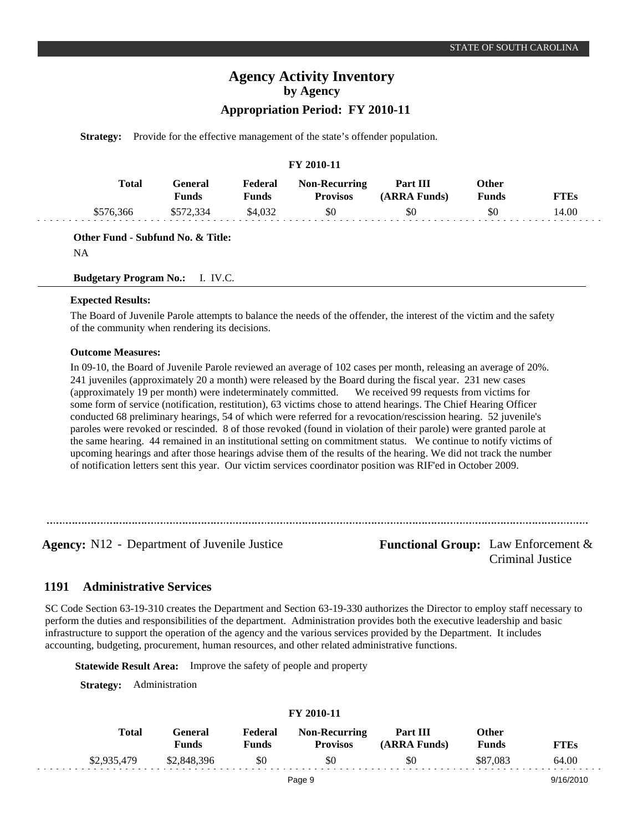# **Agency Activity Inventory by Agency**

## **Appropriation Period: FY 2010-11**

**Strategy:** Provide for the effective management of the state's offender population.

## **FY 2010-11**

| Total<br>Feneral<br><b>Funds</b> | Federal<br>$\nabla$ unds | <b>Non-Recurring</b><br>Provisos | Part III<br>(ARRA Funds) | )ther<br>Funds | "TEs  |
|----------------------------------|--------------------------|----------------------------------|--------------------------|----------------|-------|
|                                  | \$4,032                  | \$0                              | \$0                      | \$0            | 14.00 |

**Other Fund - Subfund No. & Title:**

NA

**Budgetary Program No.:** I. IV.C.

## **Expected Results:**

The Board of Juvenile Parole attempts to balance the needs of the offender, the interest of the victim and the safety of the community when rendering its decisions.

#### **Outcome Measures:**

In 09-10, the Board of Juvenile Parole reviewed an average of 102 cases per month, releasing an average of 20%. 241 juveniles (approximately 20 a month) were released by the Board during the fiscal year. 231 new cases (approximately 19 per month) were indeterminately committed.We received 99 requests from victims for some form of service (notification, restitution), 63 victims chose to attend hearings. The Chief Hearing Officer conducted 68 preliminary hearings, 54 of which were referred for a revocation/rescission hearing. 52 juvenile's paroles were revoked or rescinded. 8 of those revoked (found in violation of their parole) were granted parole at the same hearing. 44 remained in an institutional setting on commitment status.We continue to notify victims of upcoming hearings and after those hearings advise them of the results of the hearing. We did not track the number of notification letters sent this year. Our victim services coordinator position was RIF'ed in October 2009.

**Agency:** N12 - Department of Juvenile Justice **Functional Group:** Law Enforcement & Criminal Justice

#### **Administrative Services 1191**

SC Code Section 63-19-310 creates the Department and Section 63-19-330 authorizes the Director to employ staff necessary to perform the duties and responsibilities of the department. Administration provides both the executive leadership and basic infrastructure to support the operation of the agency and the various services provided by the Department. It includes accounting, budgeting, procurement, human resources, and other related administrative functions.

**Statewide Result Area:** Improve the safety of people and property

**Strategy:** Administration

| Total       | General<br><b>Funds</b> | Federal<br><b>Funds</b> | <b>Non-Recurring</b><br><b>Provisos</b> | Part III<br>(ARRA Funds) | Other<br>Funds | <b>FTEs</b> |
|-------------|-------------------------|-------------------------|-----------------------------------------|--------------------------|----------------|-------------|
| \$2,935,479 | \$2,848,396             | \$0                     | \$0                                     | \$0                      | \$87.083       | 64.00       |
|             |                         |                         | Page 9                                  |                          |                | 9/16/2010   |

## **FY 2010-11**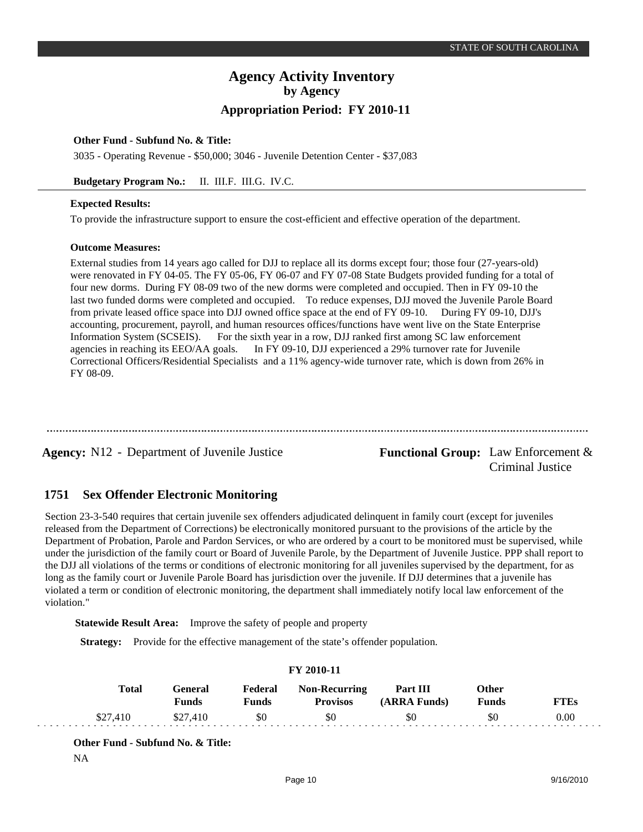## **Other Fund - Subfund No. & Title:**

3035 - Operating Revenue - \$50,000; 3046 - Juvenile Detention Center - \$37,083

#### **Budgetary Program No.:** II. III.F. III.G. IV.C.

#### **Expected Results:**

To provide the infrastructure support to ensure the cost-efficient and effective operation of the department.

#### **Outcome Measures:**

External studies from 14 years ago called for DJJ to replace all its dorms except four; those four (27-years-old) were renovated in FY 04-05. The FY 05-06, FY 06-07 and FY 07-08 State Budgets provided funding for a total of four new dorms. During FY 08-09 two of the new dorms were completed and occupied. Then in FY 09-10 the last two funded dorms were completed and occupied. To reduce expenses, DJJ moved the Juvenile Parole Board from private leased office space into DJJ owned office space at the end of FY 09-10. During FY 09-10, DJJ's accounting, procurement, payroll, and human resources offices/functions have went live on the State Enterprise Information System (SCSEIS). For the sixth year in a row, DJJ ranked first among SC law enforcement agencies in reaching its  $EEO/AA$  goals. In FY 09-10, DJJ experienced a 29% turnover rate for Juvenile Correctional Officers/Residential Specialists and a 11% agency-wide turnover rate, which is down from 26% in FY 08-09.

# Agency: N12 - Department of Juvenile Justice **Functional Group:** Law Enforcement & Criminal Justice

#### **Sex Offender Electronic Monitoring 1751**

Section 23-3-540 requires that certain juvenile sex offenders adjudicated delinquent in family court (except for juveniles released from the Department of Corrections) be electronically monitored pursuant to the provisions of the article by the Department of Probation, Parole and Pardon Services, or who are ordered by a court to be monitored must be supervised, while under the jurisdiction of the family court or Board of Juvenile Parole, by the Department of Juvenile Justice. PPP shall report to the DJJ all violations of the terms or conditions of electronic monitoring for all juveniles supervised by the department, for as long as the family court or Juvenile Parole Board has jurisdiction over the juvenile. If DJJ determines that a juvenile has violated a term or condition of electronic monitoring, the department shall immediately notify local law enforcement of the violation."

**Statewide Result Area:** Improve the safety of people and property

**Strategy:** Provide for the effective management of the state's offender population.

| Total    | <b>General</b><br><b>Funds</b> | Federal<br><b>Funds</b> | <b>Non-Recurring</b><br><b>Provisos</b> | <b>Part III</b><br>(ARRA Funds) | <b>Other</b><br><b>Funds</b> | <b>FTEs</b> |
|----------|--------------------------------|-------------------------|-----------------------------------------|---------------------------------|------------------------------|-------------|
| \$27,410 | \$27,410                       | \$0                     | \$0                                     | \$0                             | -80                          | 0.00        |

**FY 2010-11**

**Other Fund - Subfund No. & Title:**

NA